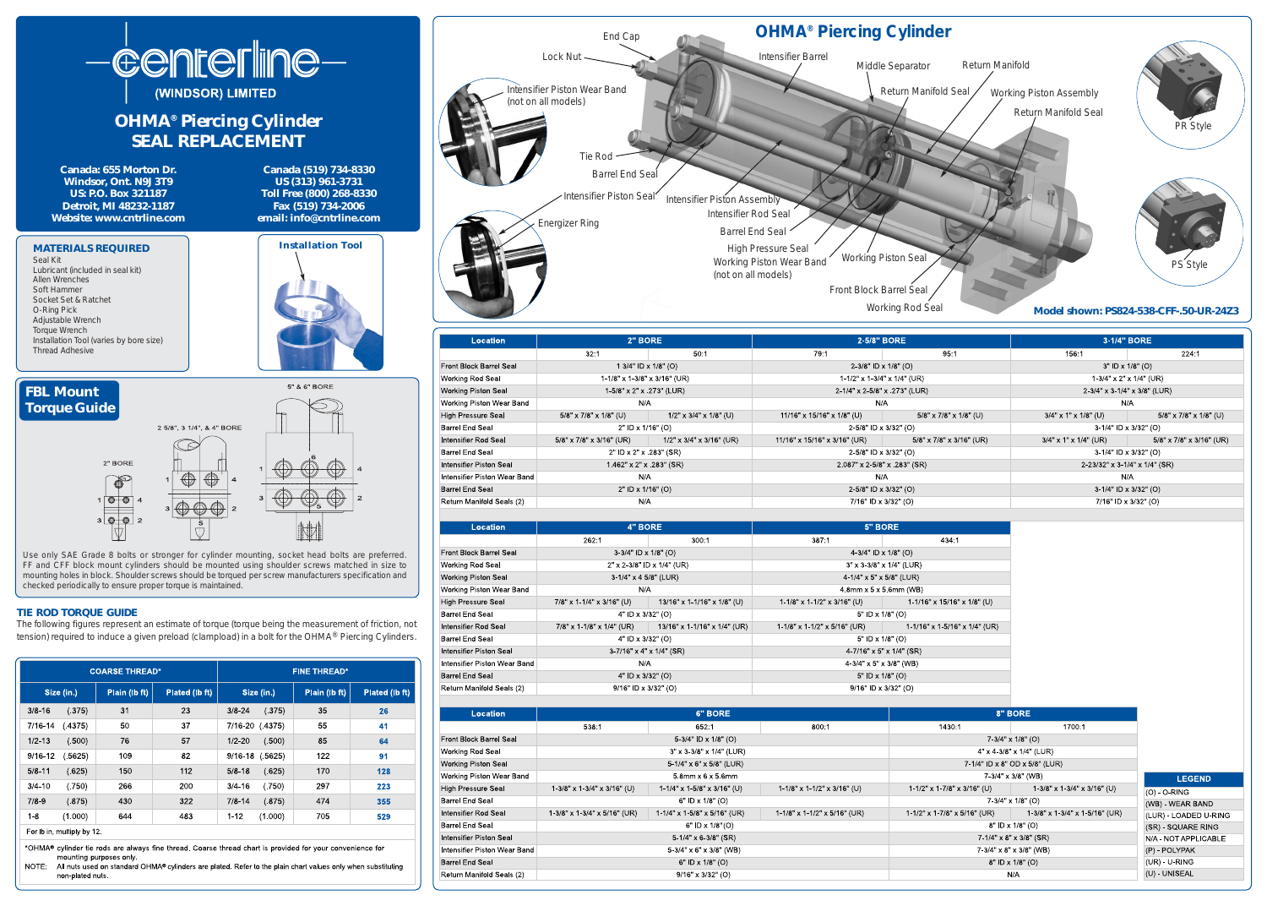

## **OHMA® Piercing Cylinder**



| 2-5/8" BORE                   |                           | 3-1/4" BORE                      |                                   |
|-------------------------------|---------------------------|----------------------------------|-----------------------------------|
| 79:1                          | 95:1                      | 156:1                            | 224:1                             |
| 2-3/8" ID x 1/8" (O)          |                           | $3"$ ID x $1/8"$ (O)             |                                   |
| 1-1/2" x 1-3/4" x 1/4" (UR)   |                           | $1-3/4$ " x 2" x $1/4$ " (UR)    |                                   |
| 2-1/4" x 2-5/8" x .273" (LUR) |                           | 2-3/4" x 3-1/4" x 3/8" (LUR)     |                                   |
| N/A                           |                           | N/A                              |                                   |
| 11/16" x 15/16" x 1/8" (U)    | $5/8$ " x 7/8" x 1/8" (U) | $3/4$ " x 1" x 1/8" (U)          | $5/8$ " x $7/8$ " x $1/8$ " (U)   |
| 2-5/8" ID x 3/32" (O)         |                           | 3-1/4" ID x 3/32" (O)            |                                   |
| 11/16" x 15/16" x 3/16" (UR)  | 5/8" x 7/8" x 3/16" (UR)  | $3/4$ " x 1" x 1/4" (UR)         | $5/8$ " x $7/8$ " x $3/16$ " (UR) |
| 2-5/8" ID x 3/32" (O)         |                           | 3-1/4" ID x 3/32" (O)            |                                   |
| 2.087" x 2-5/8" x 283" (SR)   |                           | $2-23/32$ " x 3-1/4" x 1/4" (SR) |                                   |
| N/A                           |                           | N/A                              |                                   |
| 2-5/8" ID x 3/32" (O)         |                           | 3-1/4" ID x 3/32" (O)            |                                   |
| 7/16" ID x 3/32" (O)          |                           | 7/16" ID x 3/32" (O)             |                                   |

| 5" BORE                                   |                                            |  |  |  |  |
|-------------------------------------------|--------------------------------------------|--|--|--|--|
| 387:1                                     | 434:1                                      |  |  |  |  |
| 4-3/4" ID x $1/8$ " (O)                   |                                            |  |  |  |  |
| $3'' \times 3 - 3/8'' \times 1/4''$ (LUR) |                                            |  |  |  |  |
| 4-1/4" x 5" x 5/8" (LUR)                  |                                            |  |  |  |  |
| $4.8$ mm x 5 x 5.6mm (WB)                 |                                            |  |  |  |  |
| 1-1/8" x 1-1/2" x 3/16" (U)               | $1 - 1/16$ " x $15/16$ " x $1/8$ " (U)     |  |  |  |  |
| 5" ID x $1/8$ " (O)                       |                                            |  |  |  |  |
| $1-1/8$ " x 1-1/2" x 5/16" (UR)           | $1 - 1/16$ " x $1 - 5/16$ " x $1/4$ " (UR) |  |  |  |  |
| 5" ID x $1/8$ " (O)                       |                                            |  |  |  |  |
| $4 - 7/16" \times 5" \times 1/4"$ (SR)    |                                            |  |  |  |  |
| $4-3/4$ " x 5" x 3/8" (WB)                |                                            |  |  |  |  |
| 5" ID x $1/8$ " (O)                       |                                            |  |  |  |  |
| $9/16"$ ID x $3/32"$ (O)                  |                                            |  |  |  |  |

|                                | 8" BORE                                |                                    |                       |
|--------------------------------|----------------------------------------|------------------------------------|-----------------------|
| 800:1                          | 1430:1                                 | 1700:1                             |                       |
|                                | $7-3/4" \times 1/8"$ (O)               |                                    |                       |
|                                | $4" \times 4 - 3/8" \times 1/4"$ (LUR) |                                    |                       |
|                                | 7-1/4" ID x 8" OD x 5/8" (LUR)         |                                    |                       |
|                                | 7-3/4" x 3/8" (WB)                     |                                    | <b>LEGEND</b>         |
| $1-1/8$ " x 1-1/2" x 3/16" (U) | $1 - 1/2$ " x 1 - 7/8" x 3/16" (U)     | $1-3/8$ " x 1 $-3/4$ " x 3/16" (U) | $(O) - O-RING$        |
|                                | $7.3/4" \times 1/8"$ (O)               |                                    | (WB) - WEAR BAND      |
| 1-1/8" x 1-1/2" x 5/16" (UR)   | 1-1/2" x 1-7/8" x 5/16" (UR)           | $1-3/8$ " x 1-3/4" x 1-5/16" (UR)  | (LUR) - LOADED U-RING |
|                                | 8" ID x 1/8" (O)                       |                                    | (SR) - SQUARE RING    |
|                                | $7 - 1/4$ " x 8" x 3/8" (SR)           |                                    | N/A - NOT APPLICABLE  |
|                                | $7-3/4$ " x 8" x 3/8" (WB)             |                                    | (P) - POLYPAK         |
|                                | 8" ID x 1/8" (O)                       |                                    | (UR) - U-RING         |
|                                | N/A                                    |                                    | (U) - UNISEAL         |